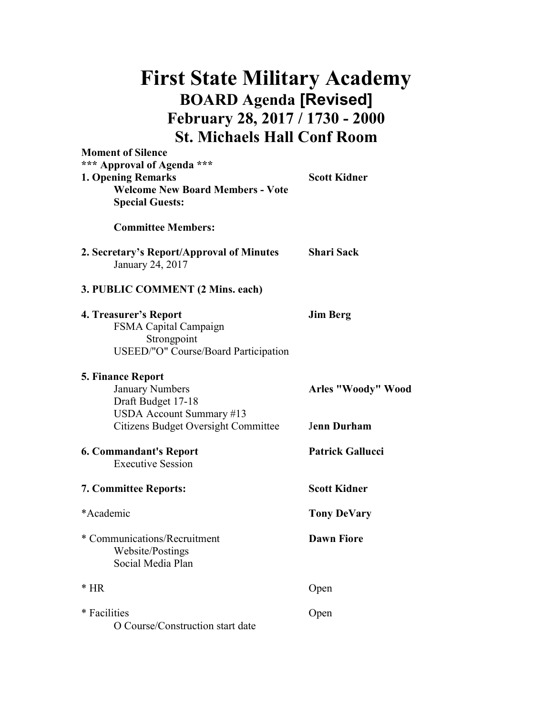## First State Military Academy BOARD Agenda [Revised] February 28, 2017 / 1730 - 2000 St. Michaels Hall Conf Room

| <b>Moment of Silence</b><br>*** Approval of Agenda ***<br><b>1. Opening Remarks</b><br><b>Welcome New Board Members - Vote</b><br><b>Special Guests:</b> | <b>Scott Kidner</b>     |
|----------------------------------------------------------------------------------------------------------------------------------------------------------|-------------------------|
| <b>Committee Members:</b>                                                                                                                                |                         |
| 2. Secretary's Report/Approval of Minutes<br>January 24, 2017                                                                                            | <b>Shari Sack</b>       |
| 3. PUBLIC COMMENT (2 Mins. each)                                                                                                                         |                         |
| 4. Treasurer's Report<br>FSMA Capital Campaign<br>Strongpoint<br>USEED/"O" Course/Board Participation                                                    | <b>Jim Berg</b>         |
| <b>5. Finance Report</b><br><b>January Numbers</b><br>Draft Budget 17-18<br>USDA Account Summary #13                                                     | Arles "Woody" Wood      |
| <b>Citizens Budget Oversight Committee</b>                                                                                                               | <b>Jenn Durham</b>      |
| <b>6. Commandant's Report</b><br><b>Executive Session</b>                                                                                                | <b>Patrick Gallucci</b> |
| <b>7. Committee Reports:</b>                                                                                                                             | <b>Scott Kidner</b>     |
| *Academic                                                                                                                                                | <b>Tony DeVary</b>      |
| * Communications/Recruitment<br>Website/Postings<br>Social Media Plan                                                                                    | <b>Dawn Fiore</b>       |
| $*$ HR                                                                                                                                                   | Open                    |
| * Facilities<br>O Course/Construction start date                                                                                                         | Open                    |